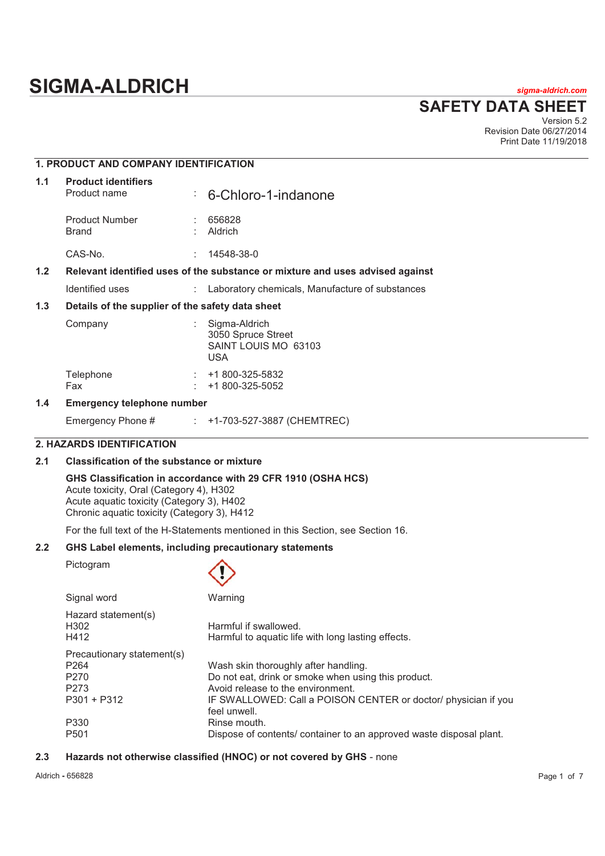# **SIGMA-ALDRICH** *sigma-aldrich.com*

**SAFETY DATA SHEET**

Version 5.2 Revision Date 06/27/2014 Print Date 11/19/2018

|     | <b>1. PRODUCT AND COMPANY IDENTIFICATION</b>                                  |    |                                                                           |
|-----|-------------------------------------------------------------------------------|----|---------------------------------------------------------------------------|
| 1.1 | <b>Product identifiers</b><br>Product name                                    | ÷. | 6-Chloro-1-indanone                                                       |
|     | <b>Product Number</b><br><b>Brand</b>                                         |    | 656828<br>Aldrich                                                         |
|     | CAS-No.                                                                       |    | 14548-38-0                                                                |
| 1.2 | Relevant identified uses of the substance or mixture and uses advised against |    |                                                                           |
|     | Identified uses                                                               |    | Laboratory chemicals, Manufacture of substances                           |
| 1.3 | Details of the supplier of the safety data sheet                              |    |                                                                           |
|     | Company                                                                       |    | Sigma-Aldrich<br>3050 Spruce Street<br>SAINT LOUIS MO 63103<br><b>USA</b> |
|     | Telephone<br>Fax                                                              |    | $: 41800 - 325 - 5832$<br>+1 800-325-5052                                 |
| 1.4 | <b>Emergency telephone number</b>                                             |    |                                                                           |

Emergency Phone # : +1-703-527-3887 (CHEMTREC)

#### **2. HAZARDS IDENTIFICATION**

#### **2.1 Classification of the substance or mixture**

#### **GHS Classification in accordance with 29 CFR 1910 (OSHA HCS)**

Acute toxicity, Oral (Category 4), H302 Acute aquatic toxicity (Category 3), H402 Chronic aquatic toxicity (Category 3), H412

For the full text of the H-Statements mentioned in this Section, see Section 16.

#### **2.2 GHS Label elements, including precautionary statements**

Pictogram

| Signal word                 | Warning                                                                        |
|-----------------------------|--------------------------------------------------------------------------------|
| Hazard statement(s)<br>H302 | Harmful if swallowed.                                                          |
| H412                        | Harmful to aguatic life with long lasting effects.                             |
| Precautionary statement(s)  |                                                                                |
| P <sub>264</sub>            | Wash skin thoroughly after handling.                                           |
| P <sub>270</sub>            | Do not eat, drink or smoke when using this product.                            |
| P <sub>273</sub>            | Avoid release to the environment.                                              |
| $P301 + P312$               | IF SWALLOWED: Call a POISON CENTER or doctor/ physician if you<br>feel unwell. |
| P330                        | Rinse mouth.                                                                   |
| P <sub>501</sub>            | Dispose of contents/ container to an approved waste disposal plant.            |

#### **2.3 Hazards not otherwise classified (HNOC) or not covered by GHS** - none

Aldrich **-** 656828 Page 1 of 7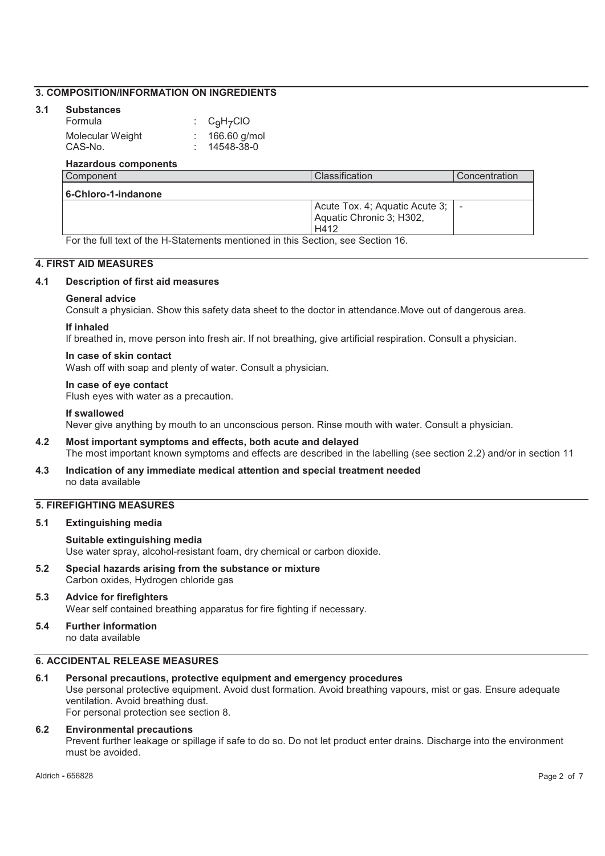#### **3. COMPOSITION/INFORMATION ON INGREDIENTS**

#### **3.1 Substances**

| Formula          | $\therefore$ C <sub>9</sub> H <sub>7</sub> CIO |
|------------------|------------------------------------------------|
| Molecular Weight | $: 166.60$ g/mol                               |
| CAS-No.          | $: 14548-38-0$                                 |

#### **Hazardous components**

| Component           | Classification                                                         | Concentration |
|---------------------|------------------------------------------------------------------------|---------------|
| 6-Chloro-1-indanone |                                                                        |               |
|                     | Acute Tox. 4; Aquatic Acute 3;   -<br>Aquatic Chronic 3; H302,<br>H412 |               |

For the full text of the H-Statements mentioned in this Section, see Section 16.

#### **4. FIRST AID MEASURES**

#### **4.1 Description of first aid measures**

#### **General advice**

Consult a physician. Show this safety data sheet to the doctor in attendance.Move out of dangerous area.

#### **If inhaled**

If breathed in, move person into fresh air. If not breathing, give artificial respiration. Consult a physician.

#### **In case of skin contact**

Wash off with soap and plenty of water. Consult a physician.

#### **In case of eye contact**

Flush eyes with water as a precaution.

#### **If swallowed**

Never give anything by mouth to an unconscious person. Rinse mouth with water. Consult a physician.

#### **4.2 Most important symptoms and effects, both acute and delayed**

The most important known symptoms and effects are described in the labelling (see section 2.2) and/or in section 11

**4.3 Indication of any immediate medical attention and special treatment needed**  no data available

#### **5. FIREFIGHTING MEASURES**

#### **5.1 Extinguishing media**

#### **Suitable extinguishing media**

Use water spray, alcohol-resistant foam, dry chemical or carbon dioxide.

**5.2 Special hazards arising from the substance or mixture**  Carbon oxides, Hydrogen chloride gas

#### **5.3 Advice for firefighters**  Wear self contained breathing apparatus for fire fighting if necessary.

**5.4 Further information**  no data available

#### **6. ACCIDENTAL RELEASE MEASURES**

#### **6.1 Personal precautions, protective equipment and emergency procedures**

Use personal protective equipment. Avoid dust formation. Avoid breathing vapours, mist or gas. Ensure adequate ventilation. Avoid breathing dust.

For personal protection see section 8.

#### **6.2 Environmental precautions**  Prevent further leakage or spillage if safe to do so. Do not let product enter drains. Discharge into the environment must be avoided.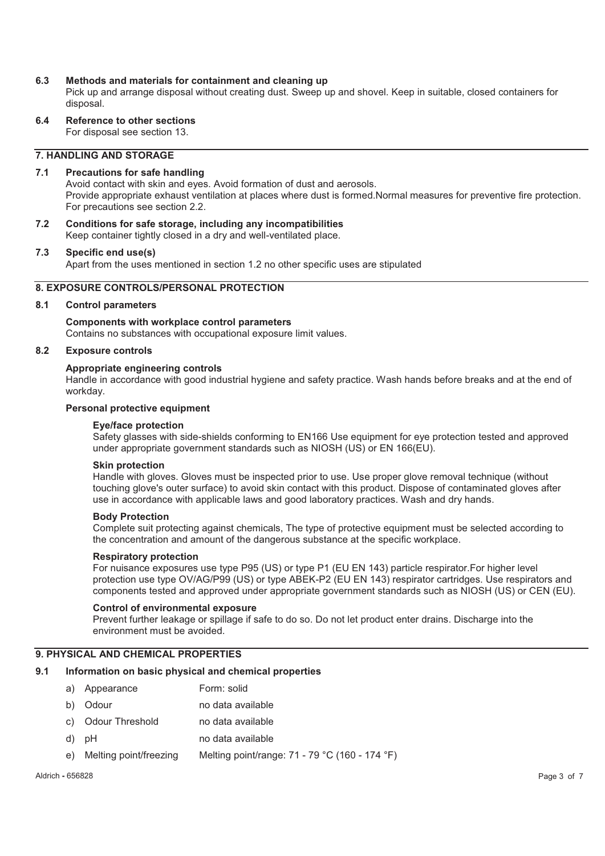#### **6.3 Methods and materials for containment and cleaning up**

Pick up and arrange disposal without creating dust. Sweep up and shovel. Keep in suitable, closed containers for disposal.

**6.4 Reference to other sections** 

For disposal see section 13.

#### **7. HANDLING AND STORAGE**

#### **7.1 Precautions for safe handling**

Avoid contact with skin and eyes. Avoid formation of dust and aerosols. Provide appropriate exhaust ventilation at places where dust is formed.Normal measures for preventive fire protection. For precautions see section 2.2.

**7.2 Conditions for safe storage, including any incompatibilities**  Keep container tightly closed in a dry and well-ventilated place.

#### **7.3 Specific end use(s)**

Apart from the uses mentioned in section 1.2 no other specific uses are stipulated

#### **8. EXPOSURE CONTROLS/PERSONAL PROTECTION**

#### **8.1 Control parameters**

#### **Components with workplace control parameters**  Contains no substances with occupational exposure limit values.

#### **8.2 Exposure controls**

#### **Appropriate engineering controls**

Handle in accordance with good industrial hygiene and safety practice. Wash hands before breaks and at the end of workday.

#### **Personal protective equipment**

#### **Eye/face protection**

Safety glasses with side-shields conforming to EN166 Use equipment for eye protection tested and approved under appropriate government standards such as NIOSH (US) or EN 166(EU).

#### **Skin protection**

Handle with gloves. Gloves must be inspected prior to use. Use proper glove removal technique (without touching glove's outer surface) to avoid skin contact with this product. Dispose of contaminated gloves after use in accordance with applicable laws and good laboratory practices. Wash and dry hands.

#### **Body Protection**

Complete suit protecting against chemicals, The type of protective equipment must be selected according to the concentration and amount of the dangerous substance at the specific workplace.

#### **Respiratory protection**

For nuisance exposures use type P95 (US) or type P1 (EU EN 143) particle respirator.For higher level protection use type OV/AG/P99 (US) or type ABEK-P2 (EU EN 143) respirator cartridges. Use respirators and components tested and approved under appropriate government standards such as NIOSH (US) or CEN (EU).

#### **Control of environmental exposure**

Prevent further leakage or spillage if safe to do so. Do not let product enter drains. Discharge into the environment must be avoided.

#### **9. PHYSICAL AND CHEMICAL PROPERTIES**

#### **9.1 Information on basic physical and chemical properties**

- a) Appearance Form: solid
- b) Odour no data available
- c) Odour Threshold no data available
- d) pH no data available
- e) Melting point/freezing Melting point/range: 71 79 °C (160 174 °F)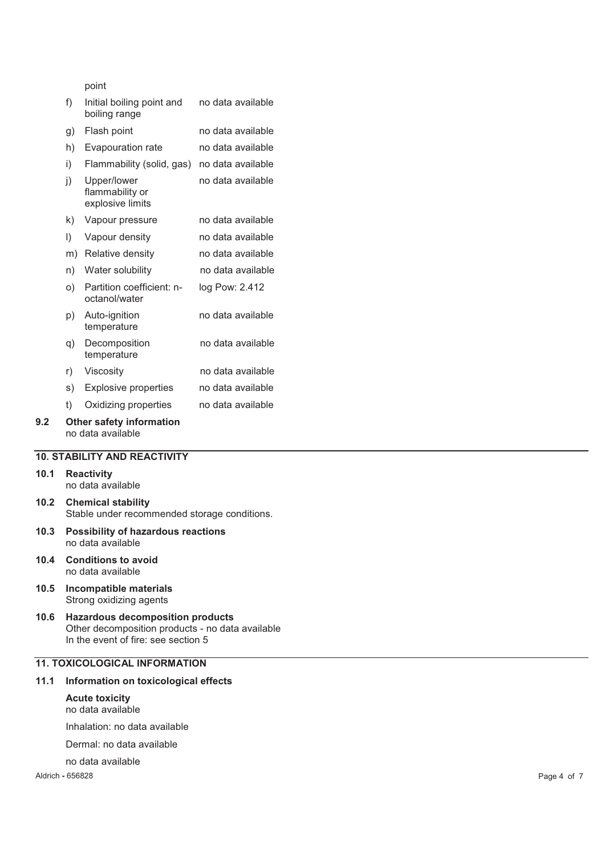point

|     | f)      | Initial boiling point and<br>boiling range         | no data available |
|-----|---------|----------------------------------------------------|-------------------|
|     | g)      | Flash point                                        | no data available |
|     | h)      | Evapouration rate                                  | no data available |
|     | i)      | Flammability (solid, gas)                          | no data available |
|     | j)      | Upper/lower<br>flammability or<br>explosive limits | no data available |
|     | k)      | Vapour pressure                                    | no data available |
|     | $\vert$ | Vapour density                                     | no data available |
|     | m)      | Relative density                                   | no data available |
|     | n)      | Water solubility                                   | no data available |
|     | O)      | Partition coefficient: n-<br>octanol/water         | log Pow: 2.412    |
|     | p)      | Auto-ignition<br>temperature                       | no data available |
|     | q)      | Decomposition<br>temperature                       | no data available |
|     | r)      | Viscosity                                          | no data available |
|     | s)      | <b>Explosive properties</b>                        | no data available |
|     | t)      | Oxidizing properties                               | no data available |
| 9.2 |         | <b>Other safety information</b>                    |                   |

no data available

#### **10. STABILITY AND REACTIVITY**

#### **10.1 Reactivity**

no data available

- **10.2 Chemical stability**  Stable under recommended storage conditions.
- **10.3 Possibility of hazardous reactions**  no data available
- **10.4 Conditions to avoid**  no data available
- **10.5 Incompatible materials**  Strong oxidizing agents
- **10.6 Hazardous decomposition products**  Other decomposition products - no data available In the event of fire: see section 5

## **11. TOXICOLOGICAL INFORMATION**

#### **11.1 Information on toxicological effects**

#### **Acute toxicity**  no data available

Inhalation: no data available

- Dermal: no data available
- no data available

Aldrich **-** 656828 Page 4 of 7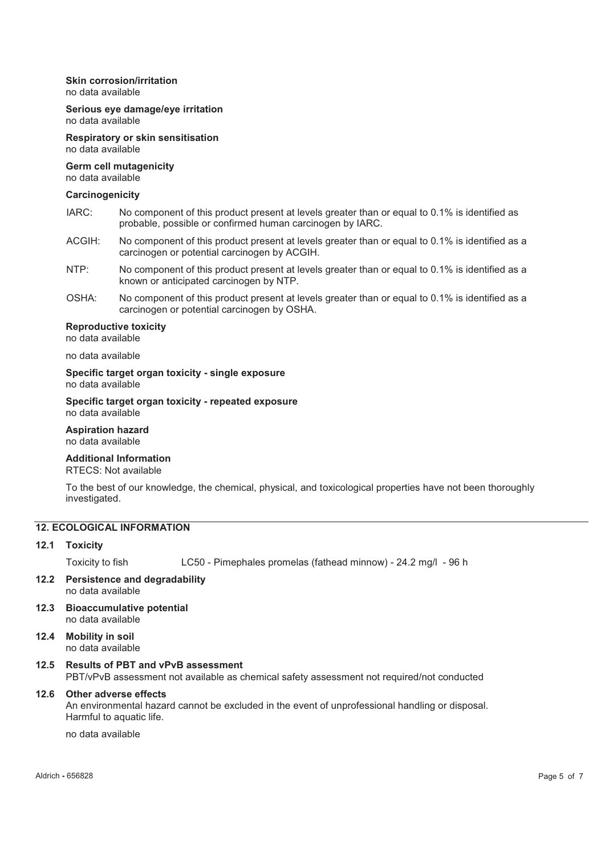#### **Skin corrosion/irritation**

no data available

#### **Serious eye damage/eye irritation**  no data available

**Respiratory or skin sensitisation**  no data available

# **Germ cell mutagenicity**

no data available

#### **Carcinogenicity**

- IARC: No component of this product present at levels greater than or equal to 0.1% is identified as probable, possible or confirmed human carcinogen by IARC.
- ACGIH: No component of this product present at levels greater than or equal to 0.1% is identified as a carcinogen or potential carcinogen by ACGIH.
- NTP: No component of this product present at levels greater than or equal to 0.1% is identified as a known or anticipated carcinogen by NTP.
- OSHA: No component of this product present at levels greater than or equal to 0.1% is identified as a carcinogen or potential carcinogen by OSHA.

#### **Reproductive toxicity**

no data available

#### no data available

#### **Specific target organ toxicity - single exposure**  no data available

**Specific target organ toxicity - repeated exposure**  no data available

#### **Aspiration hazard**  no data available

#### **Additional Information**

RTECS: Not available

To the best of our knowledge, the chemical, physical, and toxicological properties have not been thoroughly investigated.

#### **12. ECOLOGICAL INFORMATION**

#### **12.1 Toxicity**

Toxicity to fish LC50 - Pimephales promelas (fathead minnow) - 24.2 mg/l - 96 h

- **12.2 Persistence and degradability**  no data available
- **12.3 Bioaccumulative potential**  no data available
- **12.4 Mobility in soil**  no data available

# **12.5 Results of PBT and vPvB assessment**

PBT/vPvB assessment not available as chemical safety assessment not required/not conducted

#### **12.6 Other adverse effects**

An environmental hazard cannot be excluded in the event of unprofessional handling or disposal. Harmful to aquatic life.

no data available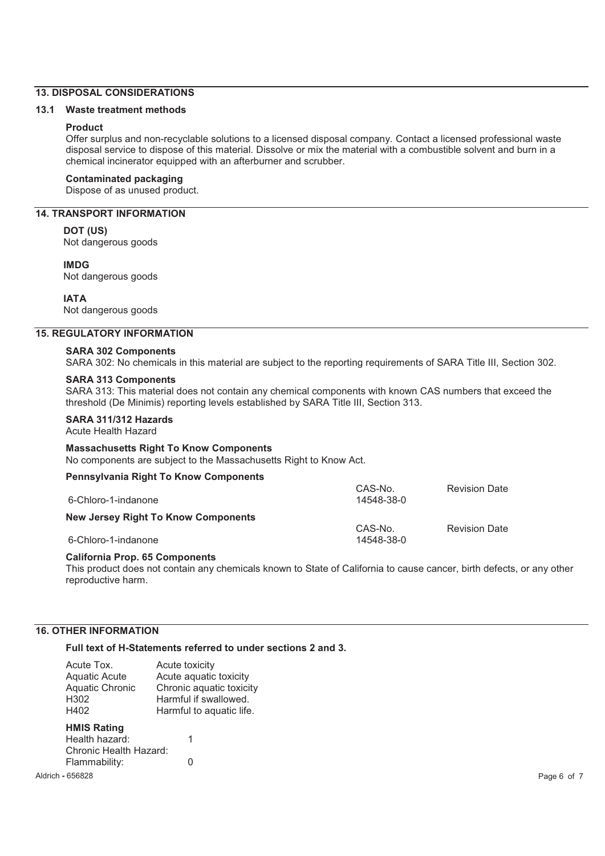#### **13. DISPOSAL CONSIDERATIONS**

### **13.1 Waste treatment methods**

### **Product**

Offer surplus and non-recyclable solutions to a licensed disposal company. Contact a licensed professional waste disposal service to dispose of this material. Dissolve or mix the material with a combustible solvent and burn in a chemical incinerator equipped with an afterburner and scrubber.

#### **Contaminated packaging**

Dispose of as unused product.

#### **14. TRANSPORT INFORMATION**

#### **DOT (US)**

Not dangerous goods

#### **IMDG**

Not dangerous goods

#### **IATA**

Not dangerous goods

#### **15. REGULATORY INFORMATION**

#### **SARA 302 Components**

SARA 302: No chemicals in this material are subject to the reporting requirements of SARA Title III, Section 302.

#### **SARA 313 Components**

SARA 313: This material does not contain any chemical components with known CAS numbers that exceed the threshold (De Minimis) reporting levels established by SARA Title III, Section 313.

#### **SARA 311/312 Hazards**

Acute Health Hazard

# **Massachusetts Right To Know Components**

No components are subject to the Massachusetts Right to Know Act.

#### **Pennsylvania Right To Know Components**

| <u>E CHIISTIVALIIA INGIN TO INION OOIIIDOIICHIS</u> | CAS-No.    | <b>Revision Date</b> |
|-----------------------------------------------------|------------|----------------------|
| 6-Chloro-1-indanone                                 | 14548-38-0 |                      |
| <b>New Jersey Right To Know Components</b>          |            |                      |
|                                                     | CAS-No.    | <b>Revision Date</b> |
| 6-Chloro-1-indanone                                 | 14548-38-0 |                      |

#### **California Prop. 65 Components**

This product does not contain any chemicals known to State of California to cause cancer, birth defects, or any other reproductive harm.

#### **16. OTHER INFORMATION**

#### **Full text of H-Statements referred to under sections 2 and 3.**

| Acute Tox.<br><b>Aquatic Acute</b><br><b>Aquatic Chronic</b><br>H302<br>H402 | Acute toxicity<br>Acute aquatic toxicity<br>Chronic aquatic toxicity<br>Harmful if swallowed.<br>Harmful to aquatic life. |
|------------------------------------------------------------------------------|---------------------------------------------------------------------------------------------------------------------------|
| <b>HMIS Rating</b><br>Health hazard:<br>Chronic Health Hazard:               | 1                                                                                                                         |
| Flammability:                                                                |                                                                                                                           |